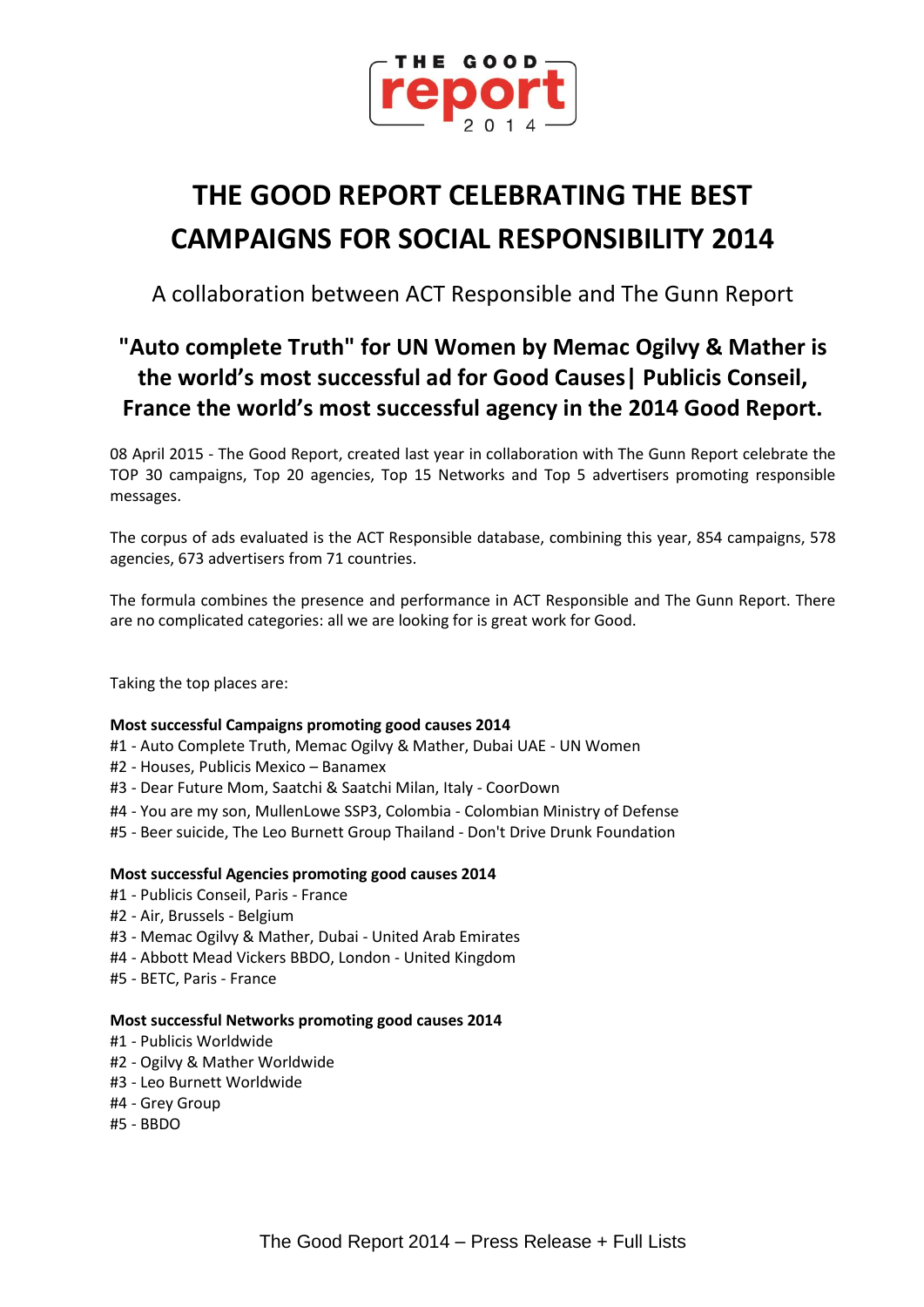

# **THE GOOD REPORT CELEBRATING THE BEST CAMPAIGNS FOR SOCIAL RESPONSIBILITY 2014**

A collaboration between ACT Responsible and The Gunn Report

## **"Auto complete Truth" for UN Women by Memac Ogilvy & Mather is the world's most successful ad for Good Causes| Publicis Conseil, France the world's most successful agency in the 2014 Good Report.**

08 April 2015 - The Good Report, created last year in collaboration with The Gunn Report celebrate the TOP 30 campaigns, Top 20 agencies, Top 15 Networks and Top 5 advertisers promoting responsible messages.

The corpus of ads evaluated is the ACT Responsible database, combining this year, 854 campaigns, 578 agencies, 673 advertisers from 71 countries.

The formula combines the presence and performance in ACT Responsible and The Gunn Report. There are no complicated categories: all we are looking for is great work for Good.

Taking the top places are:

### **Most successful Campaigns promoting good causes 2014**

- #1 Auto Complete Truth, Memac Ogilvy & Mather, Dubai UAE UN Women
- #2 Houses, Publicis Mexico Banamex
- #3 Dear Future Mom, Saatchi & Saatchi Milan, Italy CoorDown
- #4 You are my son, MullenLowe SSP3, Colombia Colombian Ministry of Defense
- #5 Beer suicide, The Leo Burnett Group Thailand Don't Drive Drunk Foundation

### **Most successful Agencies promoting good causes 2014**

- #1 Publicis Conseil, Paris France
- #2 Air, Brussels Belgium
- #3 Memac Ogilvy & Mather, Dubai United Arab Emirates
- #4 Abbott Mead Vickers BBDO, London United Kingdom
- #5 BETC, Paris France

#### **Most successful Networks promoting good causes 2014**

- #1 Publicis Worldwide
- #2 Ogilvy & Mather Worldwide
- #3 Leo Burnett Worldwide
- #4 Grey Group
- #5 BBDO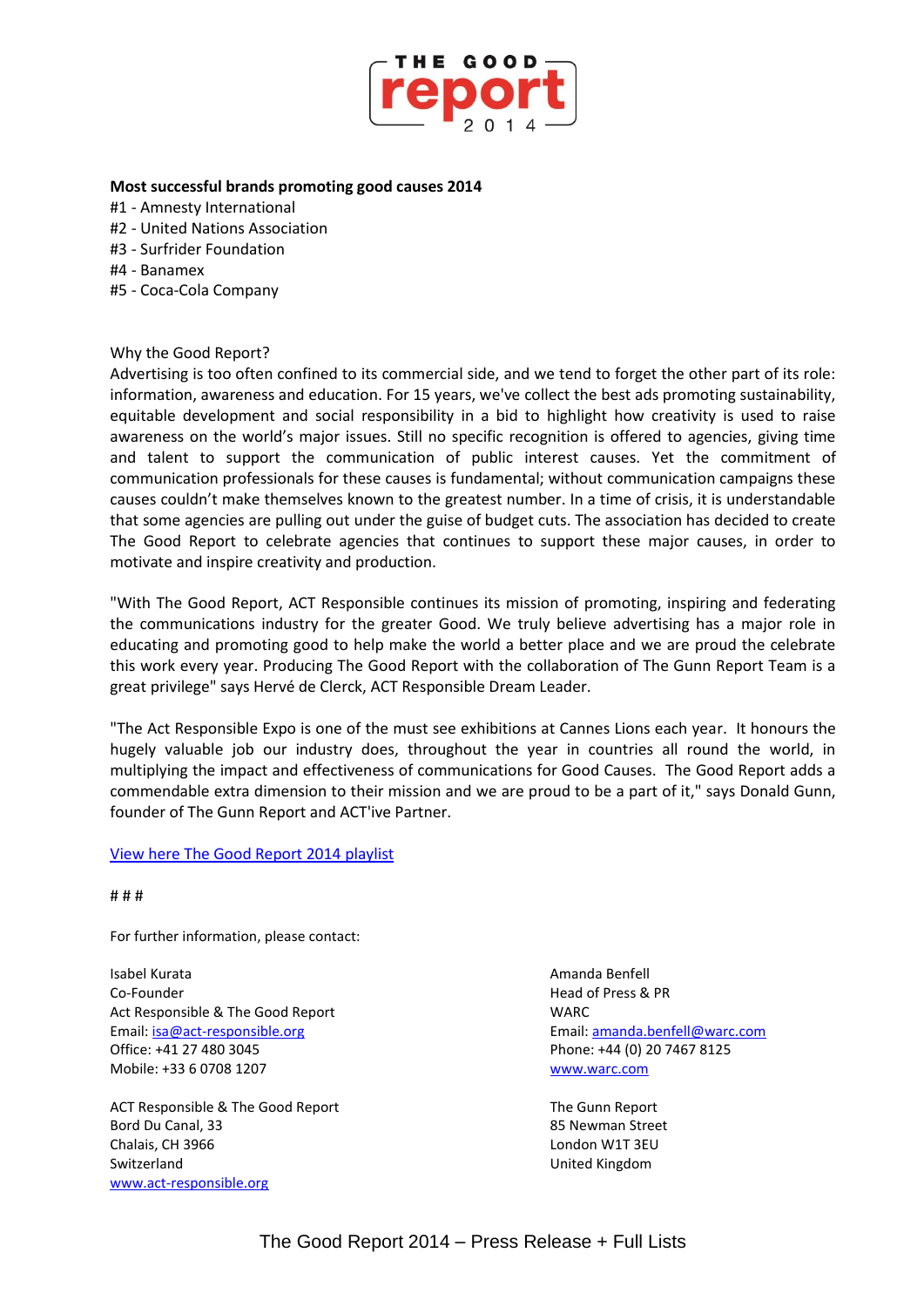

#### **Most successful brands promoting good causes 2014**

- #1 Amnesty International
- #2 United Nations Association
- #3 Surfrider Foundation
- #4 Banamex
- #5 Coca-Cola Company

#### Why the Good Report?

Advertising is too often confined to its commercial side, and we tend to forget the other part of its role: information, awareness and education. For 15 years, we've collect the best ads promoting sustainability, equitable development and social responsibility in a bid to highlight how creativity is used to raise awareness on the world's major issues. Still no specific recognition is offered to agencies, giving time and talent to support the communication of public interest causes. Yet the commitment of communication professionals for these causes is fundamental; without communication campaigns these causes couldn't make themselves known to the greatest number. In a time of crisis, it is understandable that some agencies are pulling out under the guise of budget cuts. The association has decided to create The Good Report to celebrate agencies that continues to support these major causes, in order to motivate and inspire creativity and production.

"With The Good Report, ACT Responsible continues its mission of promoting, inspiring and federating the communications industry for the greater Good. We truly believe advertising has a major role in educating and promoting good to help make the world a better place and we are proud the celebrate this work every year. Producing The Good Report with the collaboration of The Gunn Report Team is a great privilege" says Hervé de Clerck, ACT Responsible Dream Leader.

"The Act Responsible Expo is one of the must see exhibitions at Cannes Lions each year. It honours the hugely valuable job our industry does, throughout the year in countries all round the world, in multiplying the impact and effectiveness of communications for Good Causes. The Good Report adds a commendable extra dimension to their mission and we are proud to be a part of it," says Donald Gunn, founder of The Gunn Report and ACT'ive Partner.

#### [View here The Good Report 2014](https://act.adforum.com/creative-work/playlist/10018/the-good-report-2014) playlist

# # #

For further information, please contact:

Isabel Kurata Amanda Benfell Co-Founder **Head of Press & PR** Act Responsible & The Good Report NARC Email: [isa@act-responsible.org](mailto:isa@act-responsible.org) Email[: amanda.benfell@warc.com](mailto:amanda.benfell@warc.com) Office: +41 27 480 3045 Phone: +44 (0) 20 7467 8125 Mobile: +33 6 0708 1207 [www.warc.com](http://www.warc.com/)

ACT Responsible & The Good Report The Gunn Report The Gunn Report Bord Du Canal, 33 85 Newman Street Chalais, CH 3966 London W1T 3EU Switzerland **Exercise Switzerland United Kingdom** [www.act-responsible.org](http://www.act-responsible.org/)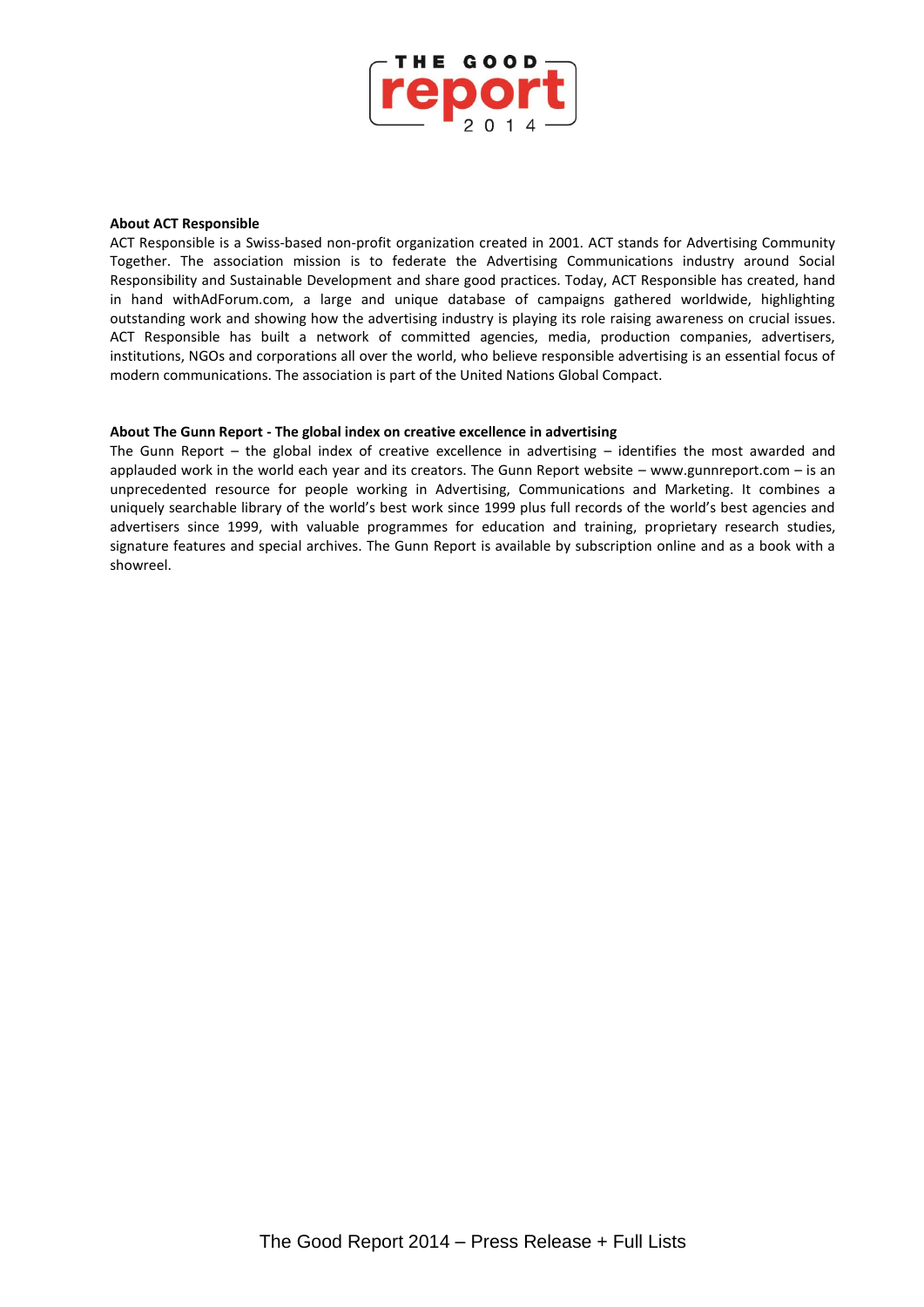

#### **About ACT Responsible**

ACT Responsible is a Swiss-based non-profit organization created in 2001. ACT stands for Advertising Community Together. The association mission is to federate the Advertising Communications industry around Social Responsibility and Sustainable Development and share good practices. Today, ACT Responsible has created, hand in hand withAdForum.com, a large and unique database of campaigns gathered worldwide, highlighting outstanding work and showing how the advertising industry is playing its role raising awareness on crucial issues. ACT Responsible has built a network of committed agencies, media, production companies, advertisers, institutions, NGOs and corporations all over the world, who believe responsible advertising is an essential focus of modern communications. The association is part of the United Nations Global Compact.

#### **About The Gunn Report - The global index on creative excellence in advertising**

The Gunn Report – the global index of creative excellence in advertising – identifies the most awarded and applauded work in the world each year and its creators. The Gunn Report website – www.gunnreport.com – is an unprecedented resource for people working in Advertising, Communications and Marketing. It combines a uniquely searchable library of the world's best work since 1999 plus full records of the world's best agencies and advertisers since 1999, with valuable programmes for education and training, proprietary research studies, signature features and special archives. The Gunn Report is available by subscription online and as a book with a showreel.